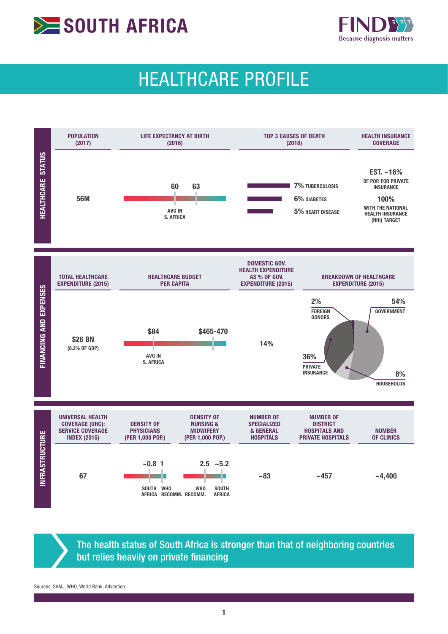



# HEALTHCARE PROFILE



The health status of South Africa is stronger than that of neighboring countries but relies heavily on private financing

Sources: SAMJ, WHO, World Bank, Advention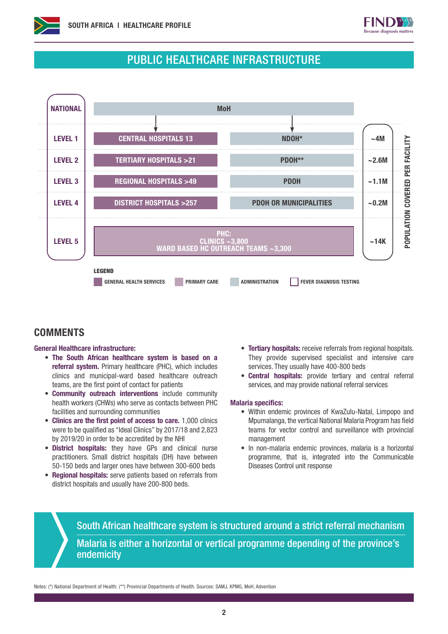



## PUBLIC HEALTHCARE INFRASTRUCTURE



### **COMMENTS**

#### General Healthcare infrastructure:

- The South African healthcare system is based on a referral system. Primary healthcare (PHC), which includes clinics and municipal-ward based healthcare outreach teams, are the first point of contact for patients
- Community outreach interventions include community health workers (CHWs) who serve as contacts between PHC facilities and surrounding communities
- Clinics are the first point of access to care. 1,000 clinics were to be qualified as "Ideal Clinics" by 2017/18 and 2,823 by 2019/20 in order to be accredited by the NHI
- District hospitals: they have GPs and clinical nurse practitioners. Small district hospitals (DH) have between 50-150 beds and larger ones have between 300-600 beds
- Regional hospitals: serve patients based on referrals from district hospitals and usually have 200-800 beds.
- Tertiary hospitals: receive referrals from regional hospitals. They provide supervised specialist and intensive care services. They usually have 400-800 beds
- Central hospitals: provide tertiary and central referral services, and may provide national referral services

#### Malaria specifics:

- Within endemic provinces of KwaZulu-Natal, Limpopo and Mpumalanga, the vertical National Malaria Program has field teams for vector control and surveillance with provincial management
- In non-malaria endemic provinces, malaria is a horizontal programme, that is, integrated into the Communicable Diseases Control unit response

South African healthcare system is structured around a strict referral mechanism Malaria is either a horizontal or vertical programme depending of the province's endemicity

Notes: (\*) National Department of Health; (\*\*) Provincial Departments of Health. Sources: SAMJ, KPMG, MoH, Advention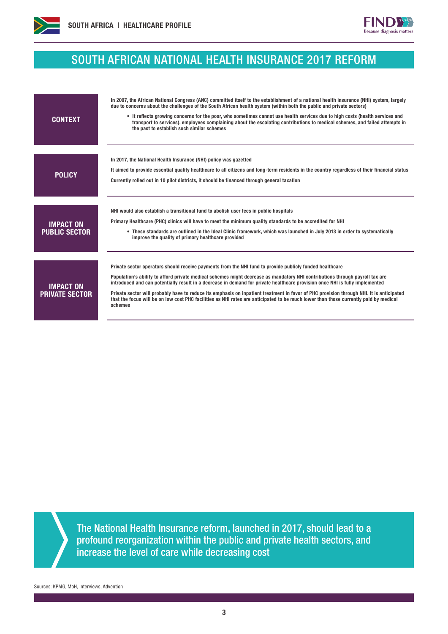



## SOUTH AFRICAN NATIONAL HEALTH INSURANCE 2017 REFORM

| <b>CONTEXT</b>                            | In 2007, the African National Congress (ANC) committed itself to the establishment of a national health insurance (NHI) system, largely<br>due to concerns about the challenges of the South African health system (within both the public and private sectors)<br>• It reflects growing concerns for the poor, who sometimes cannot use health services due to high costs (health services and<br>transport to services), employees complaining about the escalating contributions to medical schemes, and failed attempts in<br>the past to establish such similar schemes                                                                                            |
|-------------------------------------------|-------------------------------------------------------------------------------------------------------------------------------------------------------------------------------------------------------------------------------------------------------------------------------------------------------------------------------------------------------------------------------------------------------------------------------------------------------------------------------------------------------------------------------------------------------------------------------------------------------------------------------------------------------------------------|
| <b>POLICY</b>                             | In 2017, the National Health Insurance (NHI) policy was gazetted<br>It aimed to provide essential quality healthcare to all citizens and long-term residents in the country regardless of their financial status<br>Currently rolled out in 10 pilot districts, it should be financed through general taxation                                                                                                                                                                                                                                                                                                                                                          |
| <b>IMPACT ON</b><br><b>PUBLIC SECTOR</b>  | NHI would also establish a transitional fund to abolish user fees in public hospitals<br>Primary Healthcare (PHC) clinics will have to meet the minimum quality standards to be accredited for NHI<br>• These standards are outlined in the Ideal Clinic framework, which was launched in July 2013 in order to systematically<br>improve the quality of primary healthcare provided                                                                                                                                                                                                                                                                                    |
| <b>IMPACT ON</b><br><b>PRIVATE SECTOR</b> | Private sector operators should receive payments from the NHI fund to provide publicly funded healthcare<br>Population's ability to afford private medical schemes might decrease as mandatory NHI contributions through payroll tax are<br>introduced and can potentially result in a decrease in demand for private healthcare provision once NHI is fully implemented<br>Private sector will probably have to reduce its emphasis on inpatient treatment in favor of PHC provision through NHI. It is anticipated<br>that the focus will be on low cost PHC facilities as NHI rates are anticipated to be much lower than those currently paid by medical<br>schemes |

The National Health Insurance reform, launched in 2017, should lead to a profound reorganization within the public and private health sectors, and increase the level of care while decreasing cost

Sources: KPMG, MoH, interviews, Advention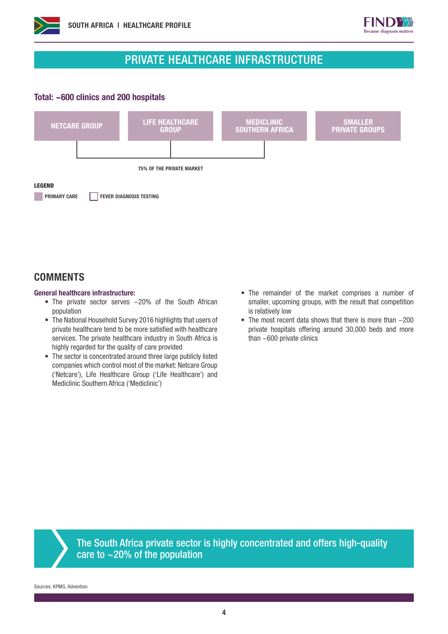



## PRIVATE HEALTHCARE INFRASTRUCTURE

#### Total: ~600 clinics and 200 hospitals



## **COMMENTS**

#### General healthcare infrastructure:

- The private sector serves ~20% of the South African population
- The National Household Survey 2016 highlights that users of private healthcare tend to be more satisfied with healthcare services. The private healthcare industry in South Africa is highly regarded for the quality of care provided
- The sector is concentrated around three large publicly listed companies which control most of the market: Netcare Group ('Netcare'), Life Healthcare Group ('Life Healthcare') and Mediclinic Southern Africa ('Mediclinic')
- The remainder of the market comprises a number of smaller, upcoming groups, with the result that competition is relatively low
- The most recent data shows that there is more than  $\sim$  200 private hospitals offering around 30,000 beds and more than  $~600$  private clinics



The South Africa private sector is highly concentrated and offers high-quality care to  $\sim$  20% of the population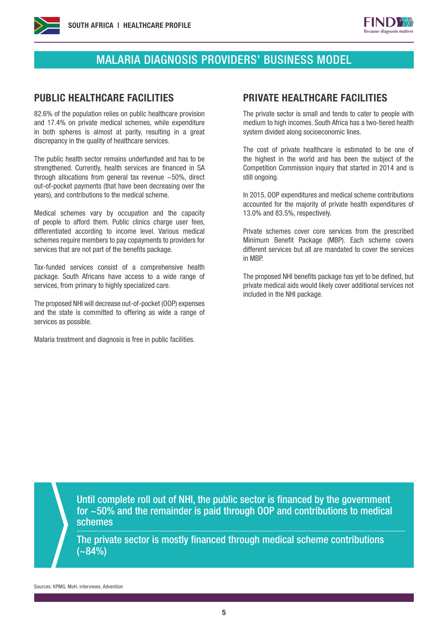



## MALARIA DIAGNOSIS PROVIDERS' BUSINESS MODEL

82.6% of the population relies on public healthcare provision and 17.4% on private medical schemes, while expenditure in both spheres is almost at parity, resulting in a great discrepancy in the quality of healthcare services.

The public health sector remains underfunded and has to be strengthened. Currently, health services are financed in SA through allocations from general tax revenue ~50%, direct out-of-pocket payments (that have been decreasing over the years), and contributions to the medical scheme.

Medical schemes vary by occupation and the capacity of people to afford them. Public clinics charge user fees, differentiated according to income level. Various medical schemes require members to pay copayments to providers for services that are not part of the benefits package.

Tax-funded services consist of a comprehensive health package. South Africans have access to a wide range of services, from primary to highly specialized care.

The proposed NHI will decrease out-of-pocket (OOP) expenses and the state is committed to offering as wide a range of services as possible.

Malaria treatment and diagnosis is free in public facilities.

#### PUBLIC HEALTHCARE FACILITIES PRIVATE HEALTHCARE FACILITIES

The private sector is small and tends to cater to people with medium to high incomes. South Africa has a two-tiered health system divided along socioeconomic lines.

The cost of private healthcare is estimated to be one of the highest in the world and has been the subject of the Competition Commission inquiry that started in 2014 and is still ongoing.

In 2015, OOP expenditures and medical scheme contributions accounted for the majority of private health expenditures of 13.0% and 83.5%, respectively.

Private schemes cover core services from the prescribed Minimum Benefit Package (MBP). Each scheme covers different services but all are mandated to cover the services in MBP.

The proposed NHI benefits package has yet to be defined, but private medical aids would likely cover additional services not included in the NHI package.

Until complete roll out of NHI, the public sector is financed by the government for ~50% and the remainder is paid through OOP and contributions to medical schemes

The private sector is mostly financed through medical scheme contributions  $(-84%)$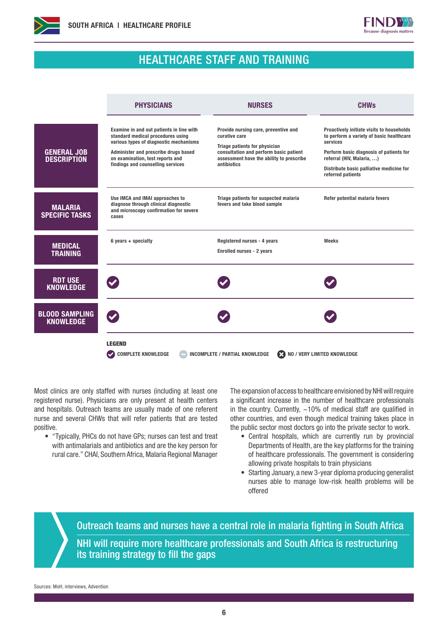



## HEALTHCARE STAFF AND TRAINING

|                                           | <b>PHYSICIANS</b>                                                                                                                                                                                                                        | <b>NURSES</b>                                                                                                                                                                               | <b>CHWs</b>                                                                                                                                                                                                                                |  |
|-------------------------------------------|------------------------------------------------------------------------------------------------------------------------------------------------------------------------------------------------------------------------------------------|---------------------------------------------------------------------------------------------------------------------------------------------------------------------------------------------|--------------------------------------------------------------------------------------------------------------------------------------------------------------------------------------------------------------------------------------------|--|
| <b>GENERAL JOB</b><br><b>DESCRIPTION</b>  | Examine in and out patients in line with<br>standard medical procedures using<br>various types of diagnostic mechanisms<br>Administer and prescribe drugs based<br>on examination, test reports and<br>findings and counselling services | Provide nursing care, preventive and<br>curative care<br>Triage patients for physician<br>consultation and perform basic patient<br>assessment have the ability to prescribe<br>antibiotics | Proactively initiate visits to households<br>to perform a variety of basic healthcare<br>services<br>Perform basic diagnosis of patients for<br>referral (HIV, Malaria, )<br>Distribute basic palliative medicine for<br>referred patients |  |
| <b>MALARIA</b><br><b>SPECIFIC TASKS</b>   | Use IMCA and IMAI approaches to<br>diagnose through clinical diagnostic<br>and microscopy confirmation for severe<br>cases                                                                                                               | Triage patients for suspected malaria<br>fevers and take blood sample                                                                                                                       | Refer potential malaria fevers                                                                                                                                                                                                             |  |
| <b>MEDICAL</b><br><b>TRAINING</b>         | $6$ years $+$ specialty                                                                                                                                                                                                                  | Registered nurses - 4 years<br><b>Enrolled nurses - 2 years</b>                                                                                                                             | Weeks                                                                                                                                                                                                                                      |  |
| <b>RDT USE</b><br><b>KNOWLEDGE</b>        |                                                                                                                                                                                                                                          |                                                                                                                                                                                             |                                                                                                                                                                                                                                            |  |
| <b>BLOOD SAMPLING</b><br><b>KNOWLEDGE</b> |                                                                                                                                                                                                                                          |                                                                                                                                                                                             |                                                                                                                                                                                                                                            |  |
|                                           | <b>LEGEND</b><br><b>COMPLETE KNOWLEDGE</b><br>NO / VERY LIMITED KNOWLEDGE<br><b>INCOMPLETE / PARTIAL KNOWLEDGE</b><br>Ø                                                                                                                  |                                                                                                                                                                                             |                                                                                                                                                                                                                                            |  |

Most clinics are only staffed with nurses (including at least one registered nurse). Physicians are only present at health centers and hospitals. Outreach teams are usually made of one referent nurse and several CHWs that will refer patients that are tested positive.

• "Typically, PHCs do not have GPs; nurses can test and treat with antimalarials and antibiotics and are the key person for rural care." CHAI, Southern Africa, Malaria Regional Manager

The expansion of access to healthcare envisioned by NHI will require a significant increase in the number of healthcare professionals in the country. Currently,  $\sim$ 10% of medical staff are qualified in other countries, and even though medical training takes place in the public sector most doctors go into the private sector to work.

- Central hospitals, which are currently run by provincial Departments of Health, are the key platforms for the training of healthcare professionals. The government is considering allowing private hospitals to train physicians
- Starting January, a new 3-year diploma producing generalist nurses able to manage low-risk health problems will be offered

Outreach teams and nurses have a central role in malaria fighting in South Africa NHI will require more healthcare professionals and South Africa is restructuring its training strategy to fill the gaps